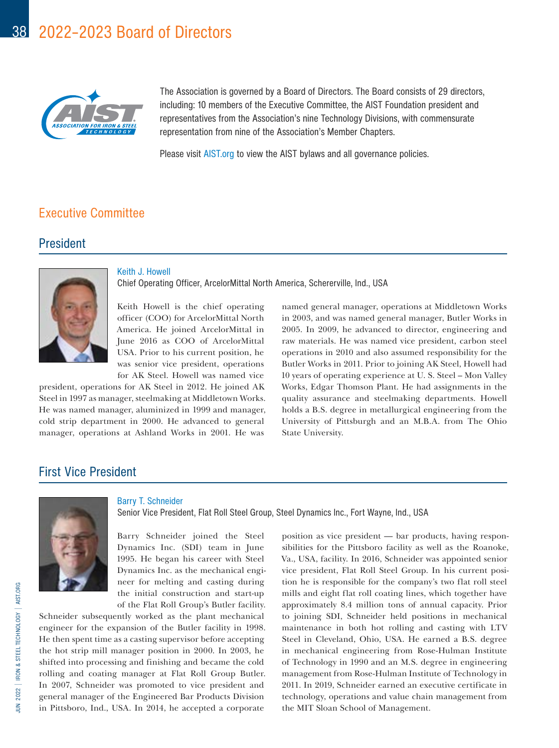

The Association is governed by a Board of Directors. The Board consists of 29 directors, including: 10 members of the Executive Committee, the AIST Foundation president and representatives from the Association's nine Technology Divisions, with commensurate representation from nine of the Association's Member Chapters.

Please visit AIST.org to view the AIST bylaws and all governance policies.

## Executive Committee

## President



Keith J. Howell Chief Operating Officer, ArcelorMittal North America, Schererville, Ind., USA

Keith Howell is the chief operating officer (COO) for ArcelorMittal North America. He joined ArcelorMittal in June 2016 as COO of ArcelorMittal USA. Prior to his current position, he was senior vice president, operations for AK Steel. Howell was named vice

president, operations for AK Steel in 2012. He joined AK Steel in 1997 as manager, steelmaking at Middletown Works. He was named manager, aluminized in 1999 and manager, cold strip department in 2000. He advanced to general manager, operations at Ashland Works in 2001. He was

named general manager, operations at Middletown Works in 2003, and was named general manager, Butler Works in 2005. In 2009, he advanced to director, engineering and raw materials. He was named vice president, carbon steel operations in 2010 and also assumed responsibility for the Butler Works in 2011. Prior to joining AK Steel, Howell had 10 years of operating experience at U. S. Steel – Mon Valley Works, Edgar Thomson Plant. He had assignments in the quality assurance and steelmaking departments. Howell holds a B.S. degree in metallurgical engineering from the University of Pittsburgh and an M.B.A. from The Ohio State University.

## First Vice President



Barry T. Schneider

Senior Vice President, Flat Roll Steel Group, Steel Dynamics Inc., Fort Wayne, Ind., USA

Barry Schneider joined the Steel Dynamics Inc. (SDI) team in June 1995. He began his career with Steel Dynamics Inc. as the mechanical engineer for melting and casting during the initial construction and start-up of the Flat Roll Group's Butler facility.

Schneider subsequently worked as the plant mechanical engineer for the expansion of the Butler facility in 1998. He then spent time as a casting supervisor before accepting the hot strip mill manager position in 2000. In 2003, he shifted into processing and finishing and became the cold rolling and coating manager at Flat Roll Group Butler. In 2007, Schneider was promoted to vice president and general manager of the Engineered Bar Products Division in Pittsboro, Ind., USA. In 2014, he accepted a corporate

position as vice president — bar products, having responsibilities for the Pittsboro facility as well as the Roanoke, Va., USA, facility. In 2016, Schneider was appointed senior vice president, Flat Roll Steel Group. In his current position he is responsible for the company's two flat roll steel mills and eight flat roll coating lines, which together have approximately 8.4 million tons of annual capacity. Prior to joining SDI, Schneider held positions in mechanical maintenance in both hot rolling and casting with LTV Steel in Cleveland, Ohio, USA. He earned a B.S. degree in mechanical engineering from Rose-Hulman Institute of Technology in 1990 and an M.S. degree in engineering management from Rose-Hulman Institute of Technology in 2011. In 2019, Schneider earned an executive certificate in technology, operations and value chain management from the MIT Sloan School of Management.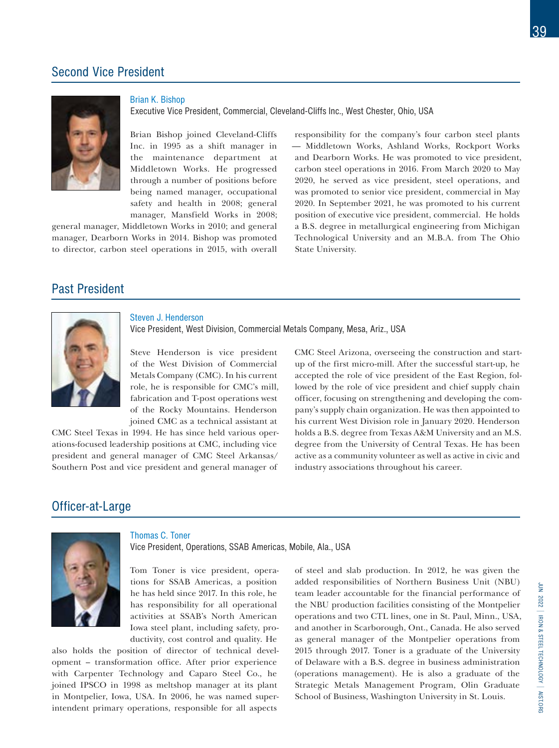## Second Vice President



Brian K. Bishop

Executive Vice President, Commercial, Cleveland-Cliffs Inc., West Chester, Ohio, USA

Brian Bishop joined Cleveland-Cliffs Inc. in 1995 as a shift manager in the maintenance department at Middletown Works. He progressed through a number of positions before being named manager, occupational safety and health in 2008; general manager, Mansfield Works in 2008;

general manager, Middletown Works in 2010; and general manager, Dearborn Works in 2014. Bishop was promoted to director, carbon steel operations in 2015, with overall

responsibility for the company's four carbon steel plants — Middletown Works, Ashland Works, Rockport Works and Dearborn Works. He was promoted to vice president, carbon steel operations in 2016. From March 2020 to May 2020, he served as vice president, steel operations, and was promoted to senior vice president, commercial in May 2020. In September 2021, he was promoted to his current position of executive vice president, commercial. He holds a B.S. degree in metallurgical engineering from Michigan Technological University and an M.B.A. from The Ohio State University.

# Past President



#### Steven J. Henderson

Vice President, West Division, Commercial Metals Company, Mesa, Ariz., USA

Steve Henderson is vice president of the West Division of Commercial Metals Company (CMC). In his current role, he is responsible for CMC's mill, fabrication and T-post operations west of the Rocky Mountains. Henderson joined CMC as a technical assistant at

CMC Steel Texas in 1994. He has since held various operations-focused leadership positions at CMC, including vice president and general manager of CMC Steel Arkansas/ Southern Post and vice president and general manager of

CMC Steel Arizona, overseeing the construction and startup of the first micro-mill. After the successful start-up, he accepted the role of vice president of the East Region, followed by the role of vice president and chief supply chain officer, focusing on strengthening and developing the company's supply chain organization. He was then appointed to his current West Division role in January 2020. Henderson holds a B.S. degree from Texas A&M University and an M.S. degree from the University of Central Texas. He has been active as a community volunteer as well as active in civic and industry associations throughout his career.

## Officer-at-Large



#### Thomas C. Toner

Vice President, Operations, SSAB Americas, Mobile, Ala., USA

Tom Toner is vice president, operations for SSAB Americas, a position he has held since 2017. In this role, he has responsibility for all operational activities at SSAB's North American Iowa steel plant, including safety, productivity, cost control and quality. He

also holds the position of director of technical development – transformation office. After prior experience with Carpenter Technology and Caparo Steel Co., he joined IPSCO in 1998 as meltshop manager at its plant in Montpelier, Iowa, USA. In 2006, he was named superintendent primary operations, responsible for all aspects

of steel and slab production. In 2012, he was given the added responsibilities of Northern Business Unit (NBU) team leader accountable for the financial performance of the NBU production facilities consisting of the Montpelier operations and two CTL lines, one in St. Paul, Minn., USA, and another in Scarborough, Ont., Canada. He also served as general manager of the Montpelier operations from 2015 through 2017. Toner is a graduate of the University of Delaware with a B.S. degree in business administration (operations management). He is also a graduate of the Strategic Metals Management Program, Olin Graduate School of Business, Washington University in St. Louis.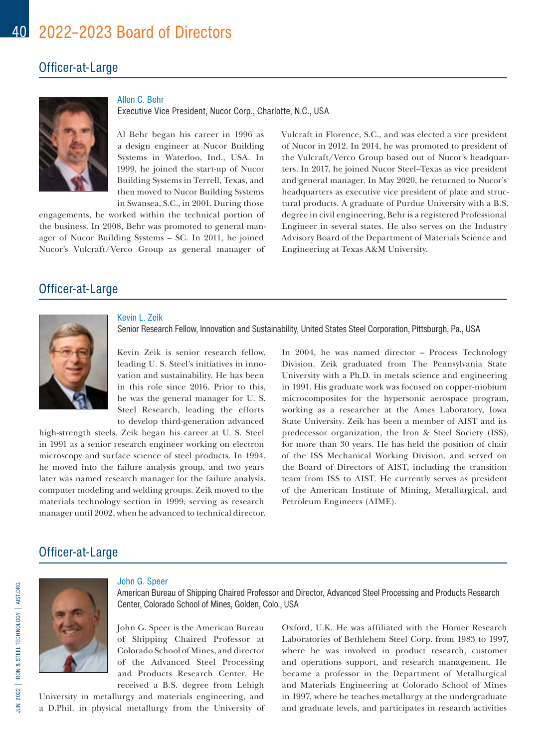## Officer-at-Large



Allen C. Behr

Executive Vice President, Nucor Corp., Charlotte, N.C., USA

Al Behr began his career in 1996 as a design engineer at Nucor Building Systems in Waterloo, Ind., USA. In 1999, he joined the start-up of Nucor Building Systems in Terrell, Texas, and then moved to Nucor Building Systems in Swansea, S.C., in 2001. During those

engagements, he worked within the technical portion of the business. In 2008, Behr was promoted to general manager of Nucor Building Systems – SC. In 2011, he joined Nucor's Vulcraft/Verco Group as general manager of

Vulcraft in Florence, S.C., and was elected a vice president of Nucor in 2012. In 2014, he was promoted to president of the Vulcraft/Verco Group based out of Nucor's headquarters. In 2017, he joined Nucor Steel–Texas as vice president and general manager. In May 2020, he returned to Nucor's headquarters as executive vice president of plate and structural products. A graduate of Purdue University with a B.S. degree in civil engineering, Behr is a registered Professional Engineer in several states. He also serves on the Industry Advisory Board of the Department of Materials Science and Engineering at Texas A&M University.

# Officer-at-Large



### Kevin L. Zeik

Senior Research Fellow, Innovation and Sustainability, United States Steel Corporation, Pittsburgh, Pa., USA

Kevin Zeik is senior research fellow, leading U. S. Steel's initiatives in innovation and sustainability. He has been in this role since 2016. Prior to this, he was the general manager for U. S. Steel Research, leading the efforts to develop third-generation advanced

high-strength steels. Zeik began his career at U. S. Steel in 1991 as a senior research engineer working on electron microscopy and surface science of steel products. In 1994, he moved into the failure analysis group, and two years later was named research manager for the failure analysis, computer modeling and welding groups. Zeik moved to the materials technology section in 1999, serving as research manager until 2002, when he advanced to technical director. In 2004, he was named director – Process Technology Division. Zeik graduated from The Pennsylvania State University with a Ph.D. in metals science and engineering in 1991. His graduate work was focused on copper-niobium microcomposites for the hypersonic aerospace program, working as a researcher at the Ames Laboratory, Iowa State University. Zeik has been a member of AIST and its predecessor organization, the Iron & Steel Society (ISS), for more than 30 years. He has held the position of chair of the ISS Mechanical Working Division, and served on the Board of Directors of AIST, including the transition team from ISS to AIST. He currently serves as president of the American Institute of Mining, Metallurgical, and Petroleum Engineers (AIME).

# Officer-at-Large



#### John G. Speer

American Bureau of Shipping Chaired Professor and Director, Advanced Steel Processing and Products Research Center, Colorado School of Mines, Golden, Colo., USA

John G. Speer is the American Bureau of Shipping Chaired Professor at Colorado School of Mines, and director of the Advanced Steel Processing and Products Research Center. He received a B.S. degree from Lehigh

University in metallurgy and materials engineering, and a D.Phil. in physical metallurgy from the University of Oxford, U.K. He was affiliated with the Homer Research Laboratories of Bethlehem Steel Corp. from 1983 to 1997, where he was involved in product research, customer and operations support, and research management. He became a professor in the Department of Metallurgical and Materials Engineering at Colorado School of Mines in 1997, where he teaches metallurgy at the undergraduate and graduate levels, and participates in research activities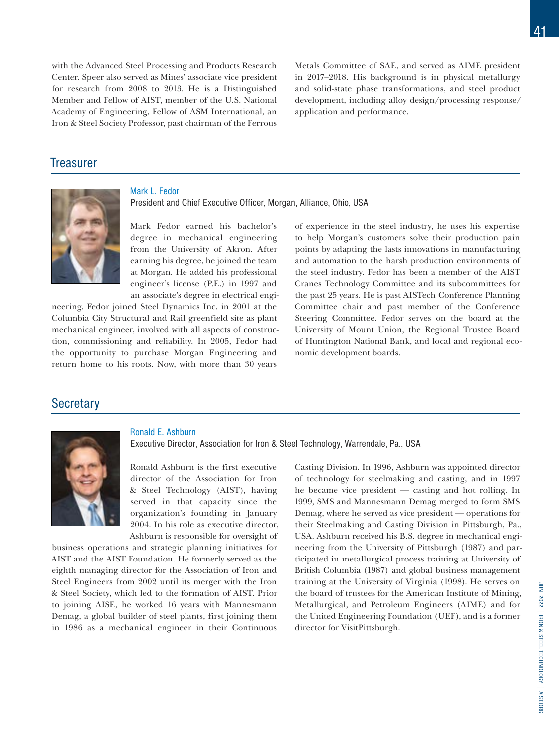with the Advanced Steel Processing and Products Research Center. Speer also served as Mines' associate vice president for research from 2008 to 2013. He is a Distinguished Member and Fellow of AIST, member of the U.S. National Academy of Engineering, Fellow of ASM International, an Iron & Steel Society Professor, past chairman of the Ferrous Metals Committee of SAE, and served as AIME president in 2017–2018. His background is in physical metallurgy and solid-state phase transformations, and steel product development, including alloy design/processing response/ application and performance.

## **Treasurer**



### Mark L. Fedor

President and Chief Executive Officer, Morgan, Alliance, Ohio, USA

Mark Fedor earned his bachelor's degree in mechanical engineering from the University of Akron. After earning his degree, he joined the team at Morgan. He added his professional engineer's license (P.E.) in 1997 and an associate's degree in electrical engi-

neering. Fedor joined Steel Dynamics Inc. in 2001 at the Columbia City Structural and Rail greenfield site as plant mechanical engineer, involved with all aspects of construction, commissioning and reliability. In 2005, Fedor had the opportunity to purchase Morgan Engineering and return home to his roots. Now, with more than 30 years

of experience in the steel industry, he uses his expertise to help Morgan's customers solve their production pain points by adapting the lasts innovations in manufacturing and automation to the harsh production environments of the steel industry. Fedor has been a member of the AIST Cranes Technology Committee and its subcommittees for the past 25 years. He is past AISTech Conference Planning Committee chair and past member of the Conference Steering Committee. Fedor serves on the board at the University of Mount Union, the Regional Trustee Board of Huntington National Bank, and local and regional economic development boards.

## **Secretary**



## Ronald E. Ashburn

Executive Director, Association for Iron & Steel Technology, Warrendale, Pa., USA

Ronald Ashburn is the first executive director of the Association for Iron & Steel Technology (AIST), having served in that capacity since the organization's founding in January 2004. In his role as executive director, Ashburn is responsible for oversight of

business operations and strategic planning initiatives for AIST and the AIST Foundation. He formerly served as the eighth managing director for the Association of Iron and Steel Engineers from 2002 until its merger with the Iron & Steel Society, which led to the formation of AIST. Prior to joining AISE, he worked 16 years with Mannesmann Demag, a global builder of steel plants, first joining them in 1986 as a mechanical engineer in their Continuous Casting Division. In 1996, Ashburn was appointed director of technology for steelmaking and casting, and in 1997 he became vice president — casting and hot rolling. In 1999, SMS and Mannesmann Demag merged to form SMS Demag, where he served as vice president — operations for their Steelmaking and Casting Division in Pittsburgh, Pa., USA. Ashburn received his B.S. degree in mechanical engineering from the University of Pittsburgh (1987) and participated in metallurgical process training at University of British Columbia (1987) and global business management training at the University of Virginia (1998). He serves on the board of trustees for the American Institute of Mining, Metallurgical, and Petroleum Engineers (AIME) and for the United Engineering Foundation (UEF), and is a former director for VisitPittsburgh.

41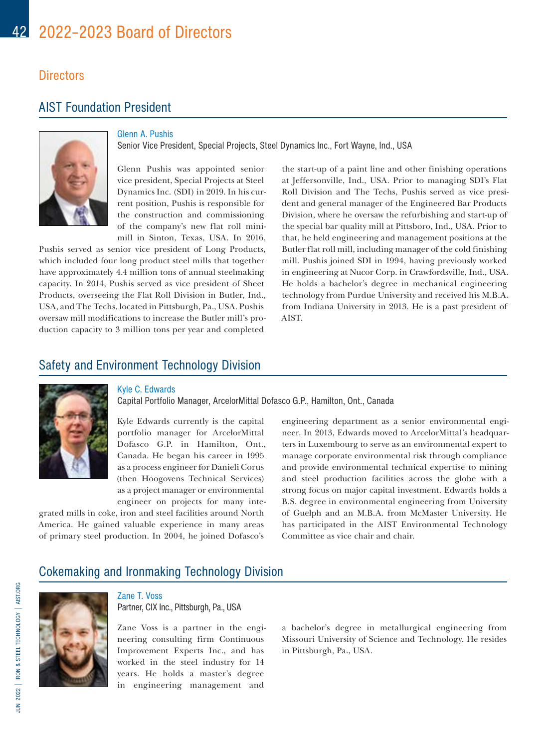## **Directors**

# AIST Foundation President



## Glenn A. Pushis

Senior Vice President, Special Projects, Steel Dynamics Inc., Fort Wayne, Ind., USA

Glenn Pushis was appointed senior vice president, Special Projects at Steel Dynamics Inc. (SDI) in 2019. In his current position, Pushis is responsible for the construction and commissioning of the company's new flat roll minimill in Sinton, Texas, USA. In 2016,

Pushis served as senior vice president of Long Products, which included four long product steel mills that together have approximately 4.4 million tons of annual steelmaking capacity. In 2014, Pushis served as vice president of Sheet Products, overseeing the Flat Roll Division in Butler, Ind., USA, and The Techs, located in Pittsburgh, Pa., USA. Pushis oversaw mill modifications to increase the Butler mill's production capacity to 3 million tons per year and completed

the start-up of a paint line and other finishing operations at Jeffersonville, Ind., USA. Prior to managing SDI's Flat Roll Division and The Techs, Pushis served as vice president and general manager of the Engineered Bar Products Division, where he oversaw the refurbishing and start-up of the special bar quality mill at Pittsboro, Ind., USA. Prior to that, he held engineering and management positions at the Butler flat roll mill, including manager of the cold finishing mill. Pushis joined SDI in 1994, having previously worked in engineering at Nucor Corp. in Crawfordsville, Ind., USA. He holds a bachelor's degree in mechanical engineering technology from Purdue University and received his M.B.A. from Indiana University in 2013. He is a past president of AIST.

## Safety and Environment Technology Division



## Kyle C. Edwards

Capital Portfolio Manager, ArcelorMittal Dofasco G.P., Hamilton, Ont., Canada

Kyle Edwards currently is the capital portfolio manager for ArcelorMittal Dofasco G.P. in Hamilton, Ont., Canada. He began his career in 1995 as a process engineer for Danieli Corus (then Hoogovens Technical Services) as a project manager or environmental engineer on projects for many inte-

grated mills in coke, iron and steel facilities around North America. He gained valuable experience in many areas of primary steel production. In 2004, he joined Dofasco's

engineering department as a senior environmental engineer. In 2013, Edwards moved to ArcelorMittal's headquarters in Luxembourg to serve as an environmental expert to manage corporate environmental risk through compliance and provide environmental technical expertise to mining and steel production facilities across the globe with a strong focus on major capital investment. Edwards holds a B.S. degree in environmental engineering from University of Guelph and an M.B.A. from McMaster University. He has participated in the AIST Environmental Technology Committee as vice chair and chair.

## Cokemaking and Ironmaking Technology Division



Zane T. Voss Partner, CIX Inc., Pittsburgh, Pa., USA

Zane Voss is a partner in the engineering consulting firm Continuous Improvement Experts Inc., and has worked in the steel industry for 14 years. He holds a master's degree in engineering management and

a bachelor's degree in metallurgical engineering from Missouri University of Science and Technology. He resides in Pittsburgh, Pa., USA.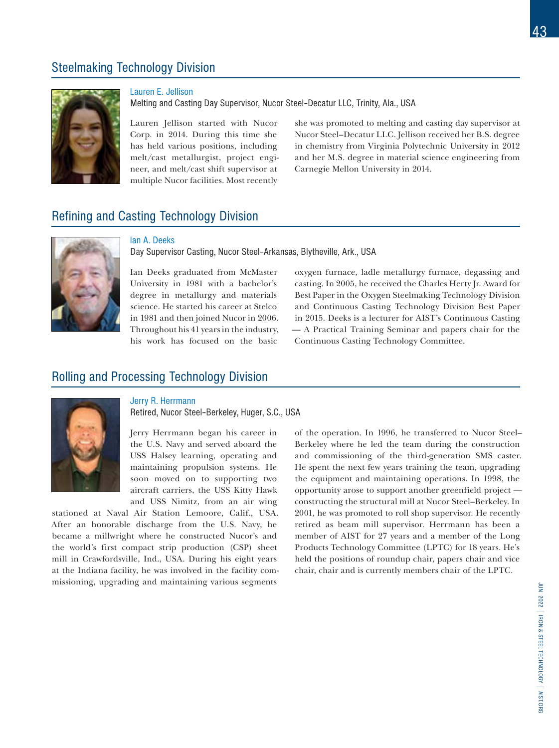# Steelmaking Technology Division



## Lauren E. Jellison

Melting and Casting Day Supervisor, Nucor Steel–Decatur LLC, Trinity, Ala., USA

Lauren Jellison started with Nucor Corp. in 2014. During this time she has held various positions, including melt/cast metallurgist, project engineer, and melt/cast shift supervisor at multiple Nucor facilities. Most recently

she was promoted to melting and casting day supervisor at Nucor Steel–Decatur LLC. Jellison received her B.S. degree in chemistry from Virginia Polytechnic University in 2012 and her M.S. degree in material science engineering from Carnegie Mellon University in 2014.

## Refining and Casting Technology Division



### Ian A. Deeks

Day Supervisor Casting, Nucor Steel–Arkansas, Blytheville, Ark., USA

Ian Deeks graduated from McMaster University in 1981 with a bachelor's degree in metallurgy and materials science. He started his career at Stelco in 1981 and then joined Nucor in 2006. Throughout his 41 years in the industry, his work has focused on the basic

oxygen furnace, ladle metallurgy furnace, degassing and casting. In 2005, he received the Charles Herty Jr. Award for Best Paper in the Oxygen Steelmaking Technology Division and Continuous Casting Technology Division Best Paper in 2015. Deeks is a lecturer for AIST's Continuous Casting — A Practical Training Seminar and papers chair for the Continuous Casting Technology Committee.

## Rolling and Processing Technology Division



### Jerry R. Herrmann

Retired, Nucor Steel–Berkeley, Huger, S.C., USA

Jerry Herrmann began his career in the U.S. Navy and served aboard the USS Halsey learning, operating and maintaining propulsion systems. He soon moved on to supporting two aircraft carriers, the USS Kitty Hawk and USS Nimitz, from an air wing

stationed at Naval Air Station Lemoore, Calif., USA. After an honorable discharge from the U.S. Navy, he became a millwright where he constructed Nucor's and the world's first compact strip production (CSP) sheet mill in Crawfordsville, Ind., USA. During his eight years at the Indiana facility, he was involved in the facility commissioning, upgrading and maintaining various segments

of the operation. In 1996, he transferred to Nucor Steel– Berkeley where he led the team during the construction and commissioning of the third-generation SMS caster. He spent the next few years training the team, upgrading the equipment and maintaining operations. In 1998, the opportunity arose to support another greenfield project constructing the structural mill at Nucor Steel–Berkeley. In 2001, he was promoted to roll shop supervisor. He recently retired as beam mill supervisor. Herrmann has been a member of AIST for 27 years and a member of the Long Products Technology Committee (LPTC) for 18 years. He's held the positions of roundup chair, papers chair and vice chair, chair and is currently members chair of the LPTC.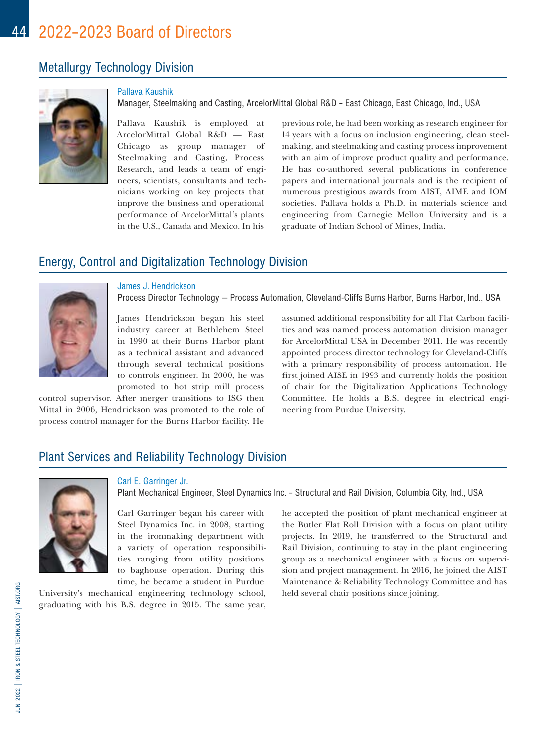# Metallurgy Technology Division



## Pallava Kaushik

Manager, Steelmaking and Casting, ArcelorMittal Global R&D – East Chicago, East Chicago, Ind., USA

Pallava Kaushik is employed at ArcelorMittal Global R&D — East Chicago as group manager of Steelmaking and Casting, Process Research, and leads a team of engineers, scientists, consultants and technicians working on key projects that improve the business and operational performance of ArcelorMittal's plants in the U.S., Canada and Mexico. In his

previous role, he had been working as research engineer for 14 years with a focus on inclusion engineering, clean steelmaking, and steelmaking and casting process improvement with an aim of improve product quality and performance. He has co-authored several publications in conference papers and international journals and is the recipient of numerous prestigious awards from AIST, AIME and IOM societies. Pallava holds a Ph.D. in materials science and engineering from Carnegie Mellon University and is a graduate of Indian School of Mines, India.

## Energy, Control and Digitalization Technology Division



#### James J. Hendrickson

Process Director Technology — Process Automation, Cleveland-Cliffs Burns Harbor, Burns Harbor, Ind., USA

James Hendrickson began his steel industry career at Bethlehem Steel in 1990 at their Burns Harbor plant as a technical assistant and advanced through several technical positions to controls engineer. In 2000, he was promoted to hot strip mill process

control supervisor. After merger transitions to ISG then Mittal in 2006, Hendrickson was promoted to the role of process control manager for the Burns Harbor facility. He

assumed additional responsibility for all Flat Carbon facilities and was named process automation division manager for ArcelorMittal USA in December 2011. He was recently appointed process director technology for Cleveland-Cliffs with a primary responsibility of process automation. He first joined AISE in 1993 and currently holds the position of chair for the Digitalization Applications Technology Committee. He holds a B.S. degree in electrical engineering from Purdue University.

## Plant Services and Reliability Technology Division



### Carl E. Garringer Jr.

Plant Mechanical Engineer, Steel Dynamics Inc. – Structural and Rail Division, Columbia City, Ind., USA

Carl Garringer began his career with Steel Dynamics Inc. in 2008, starting in the ironmaking department with a variety of operation responsibilities ranging from utility positions to baghouse operation. During this time, he became a student in Purdue

University's mechanical engineering technology school, graduating with his B.S. degree in 2015. The same year, he accepted the position of plant mechanical engineer at the Butler Flat Roll Division with a focus on plant utility projects. In 2019, he transferred to the Structural and Rail Division, continuing to stay in the plant engineering group as a mechanical engineer with a focus on supervision and project management. In 2016, he joined the AIST Maintenance & Reliability Technology Committee and has held several chair positions since joining.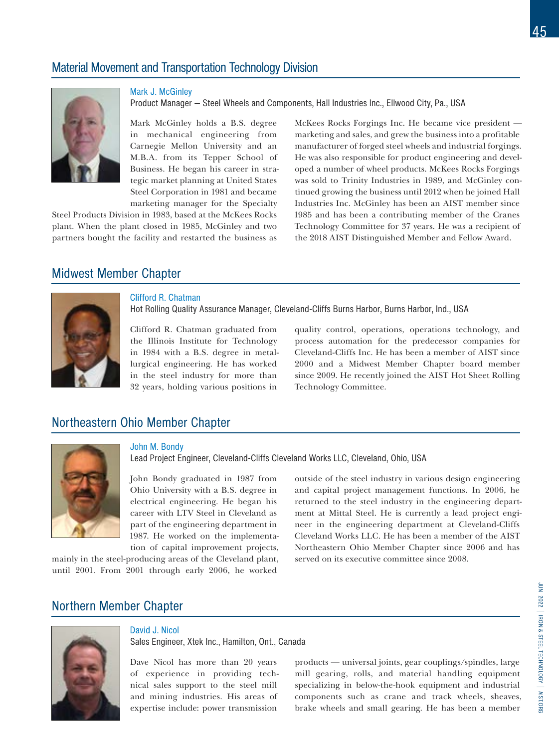# Material Movement and Transportation Technology Division



Mark J. McGinley

Product Manager — Steel Wheels and Components, Hall Industries Inc., Ellwood City, Pa., USA

Mark McGinley holds a B.S. degree in mechanical engineering from Carnegie Mellon University and an M.B.A. from its Tepper School of Business. He began his career in strategic market planning at United States Steel Corporation in 1981 and became marketing manager for the Specialty

Steel Products Division in 1983, based at the McKees Rocks plant. When the plant closed in 1985, McGinley and two partners bought the facility and restarted the business as McKees Rocks Forgings Inc. He became vice president marketing and sales, and grew the business into a profitable manufacturer of forged steel wheels and industrial forgings. He was also responsible for product engineering and developed a number of wheel products. McKees Rocks Forgings was sold to Trinity Industries in 1989, and McGinley continued growing the business until 2012 when he joined Hall Industries Inc. McGinley has been an AIST member since 1985 and has been a contributing member of the Cranes Technology Committee for 37 years. He was a recipient of the 2018 AIST Distinguished Member and Fellow Award.

## Midwest Member Chapter



### Clifford R. Chatman

Hot Rolling Quality Assurance Manager, Cleveland-Cliffs Burns Harbor, Burns Harbor, Ind., USA

Clifford R. Chatman graduated from the Illinois Institute for Technology in 1984 with a B.S. degree in metallurgical engineering. He has worked in the steel industry for more than 32 years, holding various positions in

quality control, operations, operations technology, and process automation for the predecessor companies for Cleveland-Cliffs Inc. He has been a member of AIST since 2000 and a Midwest Member Chapter board member since 2009. He recently joined the AIST Hot Sheet Rolling Technology Committee.

# Northeastern Ohio Member Chapter



### John M. Bondy

Lead Project Engineer, Cleveland-Cliffs Cleveland Works LLC, Cleveland, Ohio, USA

John Bondy graduated in 1987 from Ohio University with a B.S. degree in electrical engineering. He began his career with LTV Steel in Cleveland as part of the engineering department in 1987. He worked on the implementation of capital improvement projects,

mainly in the steel-producing areas of the Cleveland plant, until 2001. From 2001 through early 2006, he worked

outside of the steel industry in various design engineering and capital project management functions. In 2006, he returned to the steel industry in the engineering department at Mittal Steel. He is currently a lead project engineer in the engineering department at Cleveland-Cliffs Cleveland Works LLC. He has been a member of the AIST Northeastern Ohio Member Chapter since 2006 and has served on its executive committee since 2008.

# Northern Member Chapter



## David J. Nicol

Sales Engineer, Xtek Inc., Hamilton, Ont., Canada

Dave Nicol has more than 20 years of experience in providing technical sales support to the steel mill and mining industries. His areas of expertise include: power transmission

products — universal joints, gear couplings/spindles, large mill gearing, rolls, and material handling equipment specializing in below-the-hook equipment and industrial components such as crane and track wheels, sheaves, brake wheels and small gearing. He has been a member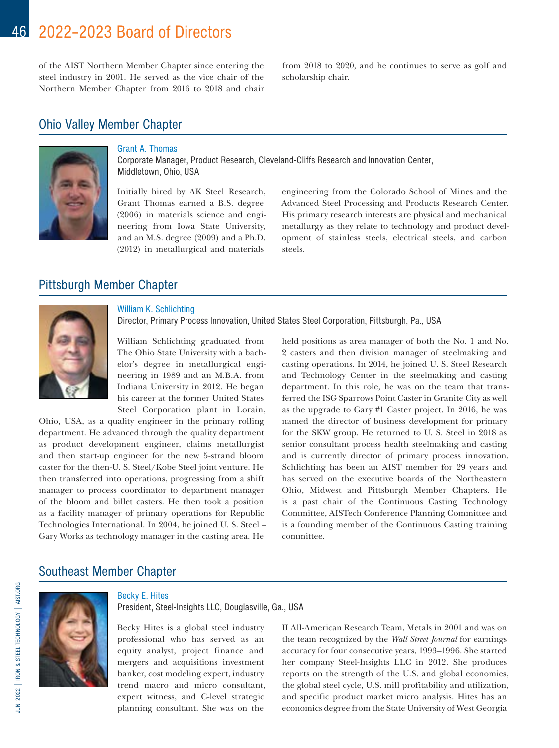of the AIST Northern Member Chapter since entering the steel industry in 2001. He served as the vice chair of the Northern Member Chapter from 2016 to 2018 and chair from 2018 to 2020, and he continues to serve as golf and scholarship chair.

# Ohio Valley Member Chapter



## Grant A. Thomas

Corporate Manager, Product Research, Cleveland-Cliffs Research and Innovation Center, Middletown, Ohio, USA

Initially hired by AK Steel Research, Grant Thomas earned a B.S. degree (2006) in materials science and engineering from Iowa State University, and an M.S. degree (2009) and a Ph.D. (2012) in metallurgical and materials

engineering from the Colorado School of Mines and the Advanced Steel Processing and Products Research Center. His primary research interests are physical and mechanical metallurgy as they relate to technology and product development of stainless steels, electrical steels, and carbon steels.

## Pittsburgh Member Chapter



## William K. Schlichting

Director, Primary Process Innovation, United States Steel Corporation, Pittsburgh, Pa., USA

William Schlichting graduated from The Ohio State University with a bachelor's degree in metallurgical engineering in 1989 and an M.B.A. from Indiana University in 2012. He began his career at the former United States Steel Corporation plant in Lorain,

Ohio, USA, as a quality engineer in the primary rolling department. He advanced through the quality department as product development engineer, claims metallurgist and then start-up engineer for the new 5-strand bloom caster for the then-U. S. Steel/Kobe Steel joint venture. He then transferred into operations, progressing from a shift manager to process coordinator to department manager of the bloom and billet casters. He then took a position as a facility manager of primary operations for Republic Technologies International. In 2004, he joined U. S. Steel – Gary Works as technology manager in the casting area. He

held positions as area manager of both the No. 1 and No. 2 casters and then division manager of steelmaking and casting operations. In 2014, he joined U. S. Steel Research and Technology Center in the steelmaking and casting department. In this role, he was on the team that transferred the ISG Sparrows Point Caster in Granite City as well as the upgrade to Gary #1 Caster project. In 2016, he was named the director of business development for primary for the SKW group. He returned to U. S. Steel in 2018 as senior consultant process health steelmaking and casting and is currently director of primary process innovation. Schlichting has been an AIST member for 29 years and has served on the executive boards of the Northeastern Ohio, Midwest and Pittsburgh Member Chapters. He is a past chair of the Continuous Casting Technology Committee, AISTech Conference Planning Committee and is a founding member of the Continuous Casting training committee.

## Southeast Member Chapter



## Becky E. Hites

President, Steel-Insights LLC, Douglasville, Ga., USA

Becky Hites is a global steel industry professional who has served as an equity analyst, project finance and mergers and acquisitions investment banker, cost modeling expert, industry trend macro and micro consultant, expert witness, and C-level strategic planning consultant. She was on the

II All-American Research Team, Metals in 2001 and was on the team recognized by the *Wall Street Journal* for earnings accuracy for four consecutive years, 1993–1996. She started her company Steel-Insights LLC in 2012. She produces reports on the strength of the U.S. and global economies, the global steel cycle, U.S. mill profitability and utilization, and specific product market micro analysis. Hites has an economics degree from the State University of West Georgia